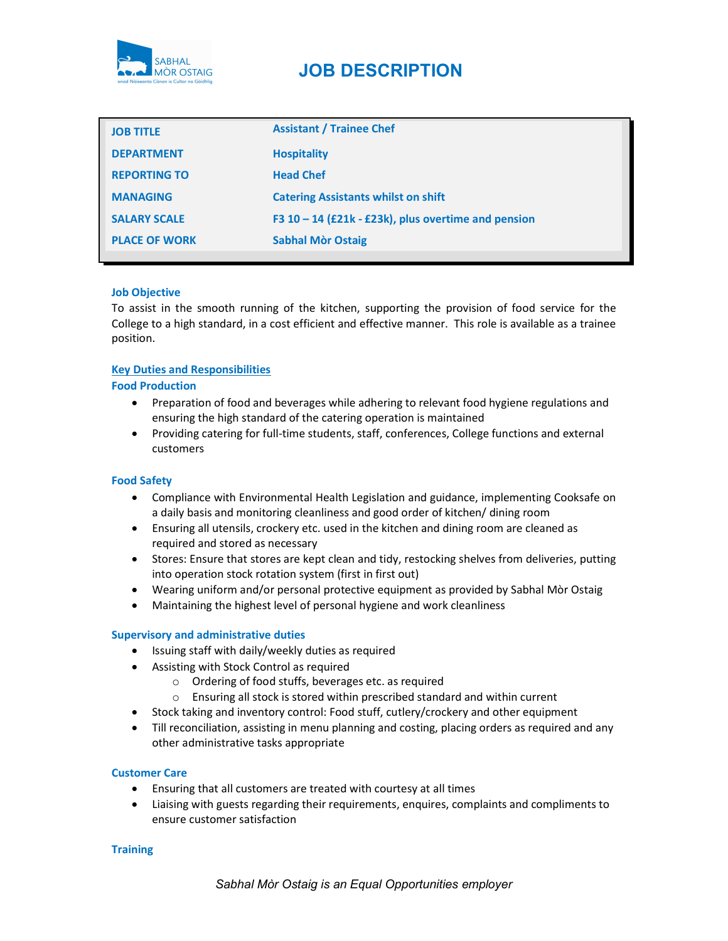

# JOB DESCRIPTION

| <b>JOB TITLE</b>     | <b>Assistant / Trainee Chef</b>                       |
|----------------------|-------------------------------------------------------|
| <b>DEPARTMENT</b>    | <b>Hospitality</b>                                    |
| <b>REPORTING TO</b>  | <b>Head Chef</b>                                      |
| <b>MANAGING</b>      | <b>Catering Assistants whilst on shift</b>            |
| <b>SALARY SCALE</b>  | F3 $10 - 14$ (£21k - £23k), plus overtime and pension |
| <b>PLACE OF WORK</b> | <b>Sabhal Mòr Ostaig</b>                              |

## Job Objective

To assist in the smooth running of the kitchen, supporting the provision of food service for the College to a high standard, in a cost efficient and effective manner. This role is available as a trainee position.

## Key Duties and Responsibilities

## Food Production

- Preparation of food and beverages while adhering to relevant food hygiene regulations and ensuring the high standard of the catering operation is maintained
- Providing catering for full-time students, staff, conferences, College functions and external customers

## Food Safety

- Compliance with Environmental Health Legislation and guidance, implementing Cooksafe on a daily basis and monitoring cleanliness and good order of kitchen/ dining room
- Ensuring all utensils, crockery etc. used in the kitchen and dining room are cleaned as required and stored as necessary
- Stores: Ensure that stores are kept clean and tidy, restocking shelves from deliveries, putting into operation stock rotation system (first in first out)
- Wearing uniform and/or personal protective equipment as provided by Sabhal Mòr Ostaig
- Maintaining the highest level of personal hygiene and work cleanliness

#### Supervisory and administrative duties

- Issuing staff with daily/weekly duties as required
- Assisting with Stock Control as required
	- o Ordering of food stuffs, beverages etc. as required
	- o Ensuring all stock is stored within prescribed standard and within current
- Stock taking and inventory control: Food stuff, cutlery/crockery and other equipment
- Till reconciliation, assisting in menu planning and costing, placing orders as required and any other administrative tasks appropriate

#### Customer Care

- Ensuring that all customers are treated with courtesy at all times
- Liaising with guests regarding their requirements, enquires, complaints and compliments to ensure customer satisfaction

#### **Training**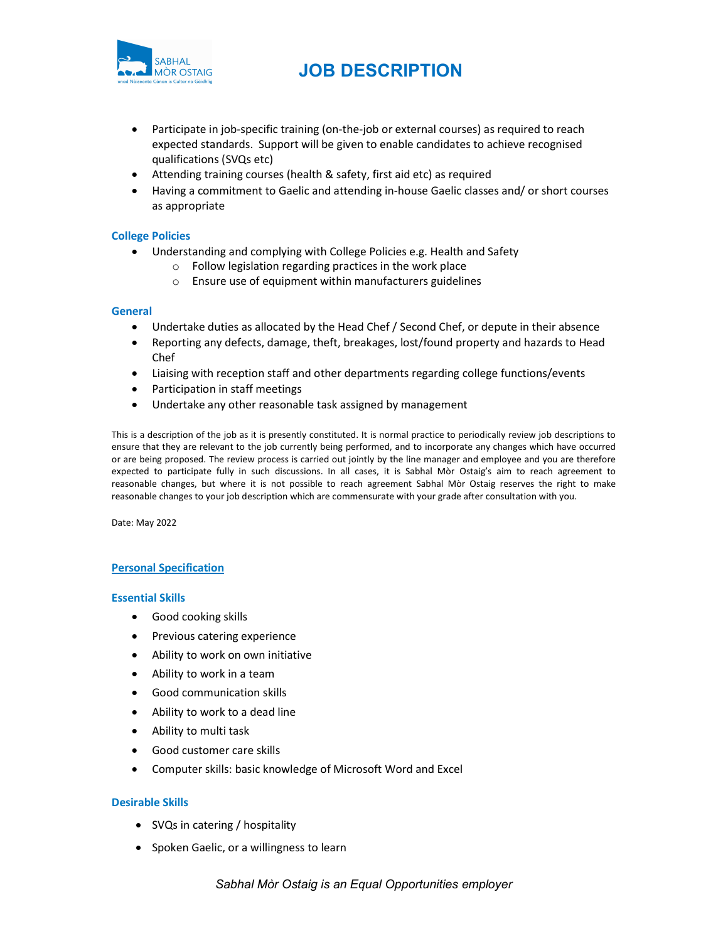

# JOB DESCRIPTION

- Participate in job-specific training (on-the-job or external courses) as required to reach expected standards. Support will be given to enable candidates to achieve recognised qualifications (SVQs etc)
- Attending training courses (health & safety, first aid etc) as required
- Having a commitment to Gaelic and attending in-house Gaelic classes and/ or short courses as appropriate

## College Policies

- Understanding and complying with College Policies e.g. Health and Safety
	- o Follow legislation regarding practices in the work place
	- o Ensure use of equipment within manufacturers guidelines

#### General

- Undertake duties as allocated by the Head Chef / Second Chef, or depute in their absence
- Reporting any defects, damage, theft, breakages, lost/found property and hazards to Head Chef
- Liaising with reception staff and other departments regarding college functions/events
- Participation in staff meetings
- Undertake any other reasonable task assigned by management

This is a description of the job as it is presently constituted. It is normal practice to periodically review job descriptions to ensure that they are relevant to the job currently being performed, and to incorporate any changes which have occurred or are being proposed. The review process is carried out jointly by the line manager and employee and you are therefore expected to participate fully in such discussions. In all cases, it is Sabhal Mòr Ostaig's aim to reach agreement to reasonable changes, but where it is not possible to reach agreement Sabhal Mòr Ostaig reserves the right to make reasonable changes to your job description which are commensurate with your grade after consultation with you.

Date: May 2022

#### Personal Specification

#### Essential Skills

- Good cooking skills
- Previous catering experience
- Ability to work on own initiative
- Ability to work in a team
- Good communication skills
- Ability to work to a dead line
- Ability to multi task
- Good customer care skills
- Computer skills: basic knowledge of Microsoft Word and Excel

#### Desirable Skills

- SVQs in catering / hospitality
- Spoken Gaelic, or a willingness to learn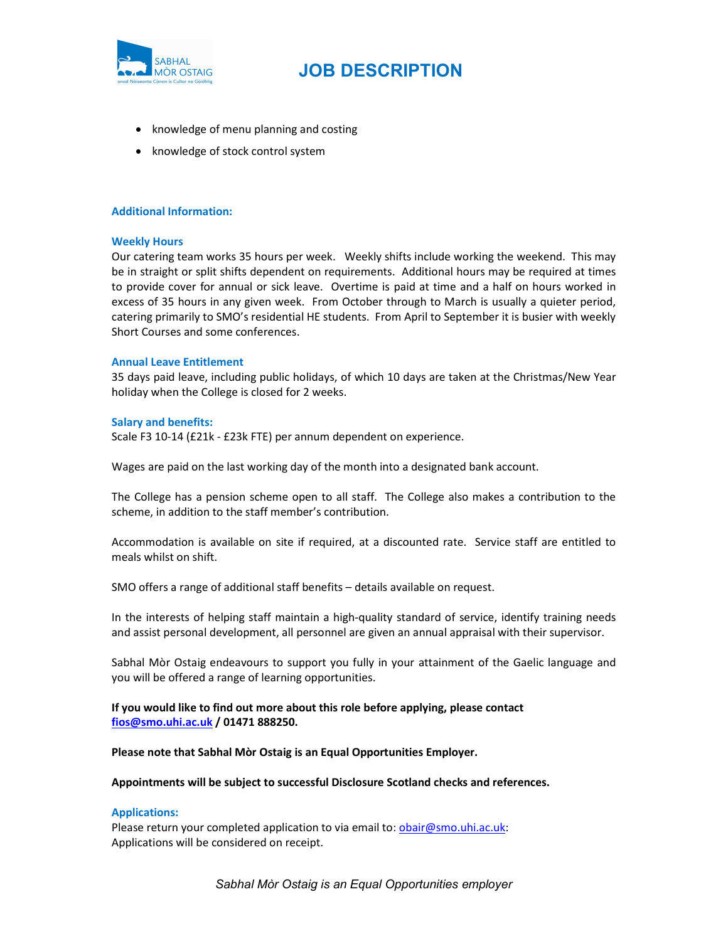

- knowledge of menu planning and costing
- knowledge of stock control system

### Additional Information:

#### Weekly Hours

Our catering team works 35 hours per week. Weekly shifts include working the weekend. This may be in straight or split shifts dependent on requirements. Additional hours may be required at times to provide cover for annual or sick leave. Overtime is paid at time and a half on hours worked in excess of 35 hours in any given week. From October through to March is usually a quieter period, catering primarily to SMO's residential HE students. From April to September it is busier with weekly Short Courses and some conferences.

#### Annual Leave Entitlement

35 days paid leave, including public holidays, of which 10 days are taken at the Christmas/New Year holiday when the College is closed for 2 weeks.

#### Salary and benefits:

Scale F3 10-14 (£21k - £23k FTE) per annum dependent on experience.

Wages are paid on the last working day of the month into a designated bank account.

The College has a pension scheme open to all staff. The College also makes a contribution to the scheme, in addition to the staff member's contribution.

Accommodation is available on site if required, at a discounted rate. Service staff are entitled to meals whilst on shift.

SMO offers a range of additional staff benefits – details available on request.

In the interests of helping staff maintain a high-quality standard of service, identify training needs and assist personal development, all personnel are given an annual appraisal with their supervisor.

Sabhal Mòr Ostaig endeavours to support you fully in your attainment of the Gaelic language and you will be offered a range of learning opportunities.

# If you would like to find out more about this role before applying, please contact fios@smo.uhi.ac.uk / 01471 888250.

#### Please note that Sabhal Mòr Ostaig is an Equal Opportunities Employer.

Appointments will be subject to successful Disclosure Scotland checks and references.

#### Applications:

Please return your completed application to via email to: *obair@smo.uhi.ac.uk:* Applications will be considered on receipt.